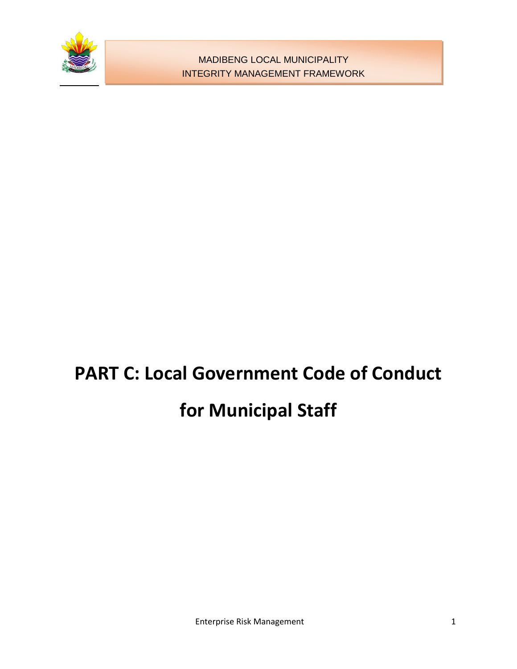

# **PART C: Local Government Code of Conduct for Municipal Staff**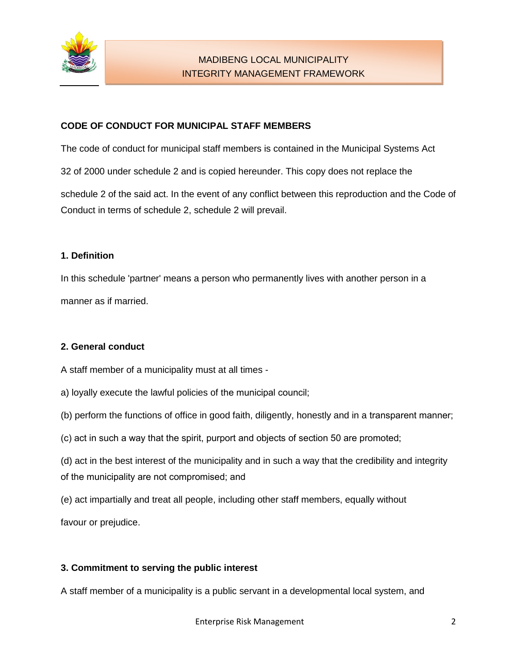

## **CODE OF CONDUCT FOR MUNICIPAL STAFF MEMBERS**

The code of conduct for municipal staff members is contained in the Municipal Systems Act

32 of 2000 under schedule 2 and is copied hereunder. This copy does not replace the

schedule 2 of the said act. In the event of any conflict between this reproduction and the Code of Conduct in terms of schedule 2, schedule 2 will prevail.

#### **1. Definition**

In this schedule 'partner' means a person who permanently lives with another person in a manner as if married.

#### **2. General conduct**

A staff member of a municipality must at all times -

a) loyally execute the lawful policies of the municipal council;

(b) perform the functions of office in good faith, diligently, honestly and in a transparent manner;

(c) act in such a way that the spirit, purport and objects of section 50 are promoted;

(d) act in the best interest of the municipality and in such a way that the credibility and integrity of the municipality are not compromised; and

(e) act impartially and treat all people, including other staff members, equally without

favour or prejudice.

#### **3. Commitment to serving the public interest**

A staff member of a municipality is a public servant in a developmental local system, and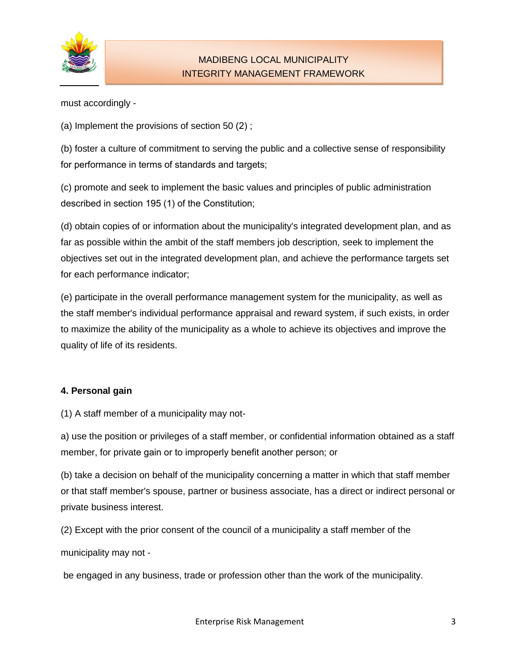

must accordingly -

(a) Implement the provisions of section 50 (2) ;

(b) foster a culture of commitment to serving the public and a collective sense of responsibility for performance in terms of standards and targets;

(c) promote and seek to implement the basic values and principles of public administration described in section 195 (1) of the Constitution;

(d) obtain copies of or information about the municipality's integrated development plan, and as far as possible within the ambit of the staff members job description, seek to implement the objectives set out in the integrated development plan, and achieve the performance targets set for each performance indicator;

(e) participate in the overall performance management system for the municipality, as well as the staff member's individual performance appraisal and reward system, if such exists, in order to maximize the ability of the municipality as a whole to achieve its objectives and improve the quality of life of its residents.

## **4. Personal gain**

(1) A staff member of a municipality may not-

a) use the position or privileges of a staff member, or confidential information obtained as a staff member, for private gain or to improperly benefit another person; or

(b) take a decision on behalf of the municipality concerning a matter in which that staff member or that staff member's spouse, partner or business associate, has a direct or indirect personal or private business interest.

(2) Except with the prior consent of the council of a municipality a staff member of the

municipality may not -

be engaged in any business, trade or profession other than the work of the municipality.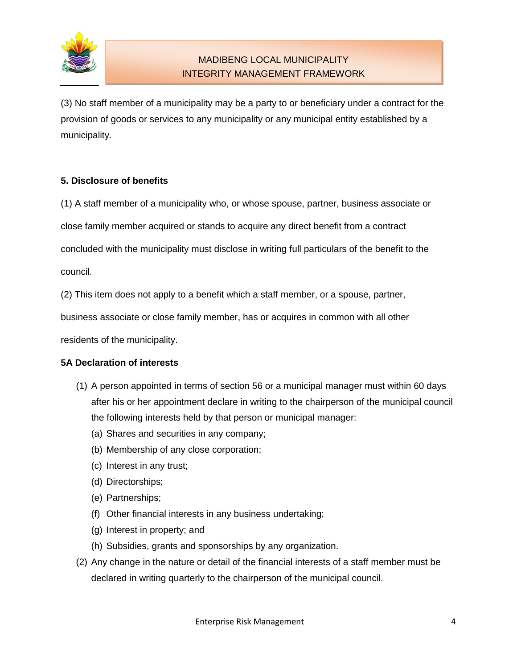

(3) No staff member of a municipality may be a party to or beneficiary under a contract for the provision of goods or services to any municipality or any municipal entity established by a municipality.

## **5. Disclosure of benefits**

(1) A staff member of a municipality who, or whose spouse, partner, business associate or

close family member acquired or stands to acquire any direct benefit from a contract

concluded with the municipality must disclose in writing full particulars of the benefit to the

council.

(2) This item does not apply to a benefit which a staff member, or a spouse, partner,

business associate or close family member, has or acquires in common with all other

residents of the municipality.

## **5A Declaration of interests**

- (1) A person appointed in terms of section 56 or a municipal manager must within 60 days after his or her appointment declare in writing to the chairperson of the municipal council the following interests held by that person or municipal manager:
	- (a) Shares and securities in any company;
	- (b) Membership of any close corporation;
	- (c) Interest in any trust;
	- (d) Directorships;
	- (e) Partnerships;
	- (f) Other financial interests in any business undertaking;
	- (g) Interest in property; and
	- (h) Subsidies, grants and sponsorships by any organization.
- (2) Any change in the nature or detail of the financial interests of a staff member must be declared in writing quarterly to the chairperson of the municipal council.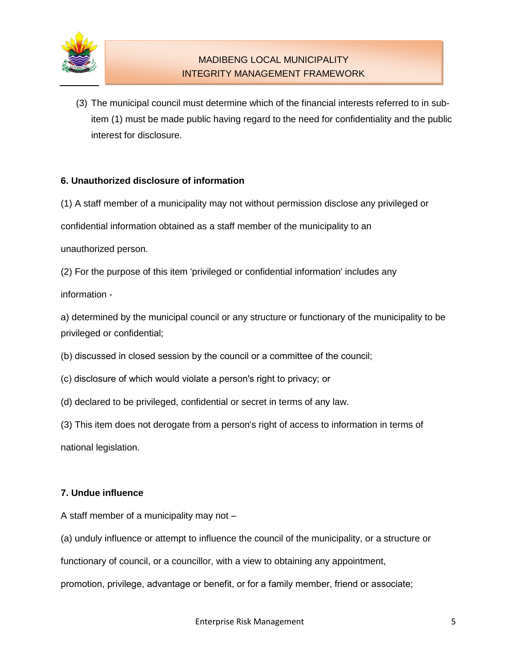

(3) The municipal council must determine which of the financial interests referred to in subitem (1) must be made public having regard to the need for confidentiality and the public interest for disclosure.

## **6. Unauthorized disclosure of information**

(1) A staff member of a municipality may not without permission disclose any privileged or

confidential information obtained as a staff member of the municipality to an

unauthorized person.

(2) For the purpose of this item 'privileged or confidential information' includes any

information -

a) determined by the municipal council or any structure or functionary of the municipality to be privileged or confidential;

(b) discussed in closed session by the council or a committee of the council;

- (c) disclosure of which would violate a person's right to privacy; or
- (d) declared to be privileged, confidential or secret in terms of any law.
- (3) This item does not derogate from a person's right of access to information in terms of

national legislation.

#### **7. Undue influence**

A staff member of a municipality may not –

(a) unduly influence or attempt to influence the council of the municipality, or a structure or

functionary of council, or a councillor, with a view to obtaining any appointment,

promotion, privilege, advantage or benefit, or for a family member, friend or associate;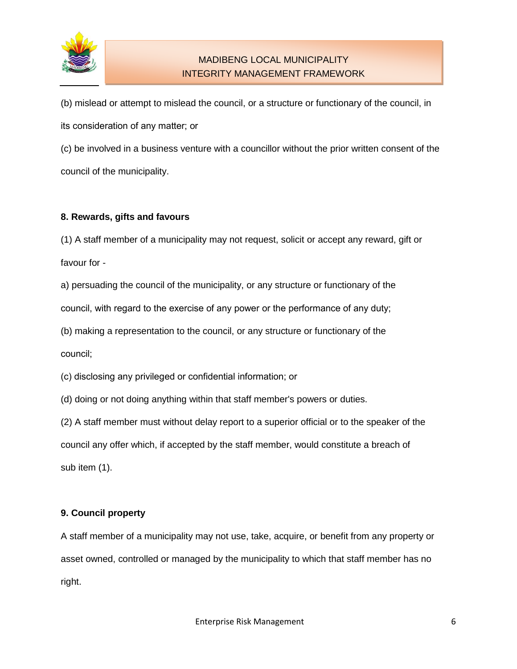

(b) mislead or attempt to mislead the council, or a structure or functionary of the council, in its consideration of any matter; or

(c) be involved in a business venture with a councillor without the prior written consent of the council of the municipality.

## **8. Rewards, gifts and favours**

(1) A staff member of a municipality may not request, solicit or accept any reward, gift or favour for -

a) persuading the council of the municipality, or any structure or functionary of the council, with regard to the exercise of any power or the performance of any duty;

(b) making a representation to the council, or any structure or functionary of the council;

(c) disclosing any privileged or confidential information; or

(d) doing or not doing anything within that staff member's powers or duties.

(2) A staff member must without delay report to a superior official or to the speaker of the

council any offer which, if accepted by the staff member, would constitute a breach of sub item (1).

## **9. Council property**

A staff member of a municipality may not use, take, acquire, or benefit from any property or asset owned, controlled or managed by the municipality to which that staff member has no right.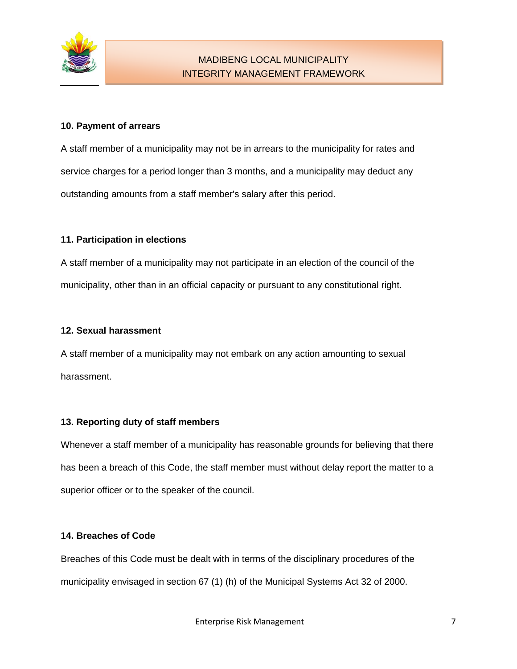

## **10. Payment of arrears**

A staff member of a municipality may not be in arrears to the municipality for rates and service charges for a period longer than 3 months, and a municipality may deduct any outstanding amounts from a staff member's salary after this period.

## **11. Participation in elections**

A staff member of a municipality may not participate in an election of the council of the municipality, other than in an official capacity or pursuant to any constitutional right.

#### **12. Sexual harassment**

A staff member of a municipality may not embark on any action amounting to sexual harassment.

#### **13. Reporting duty of staff members**

Whenever a staff member of a municipality has reasonable grounds for believing that there has been a breach of this Code, the staff member must without delay report the matter to a superior officer or to the speaker of the council.

#### **14. Breaches of Code**

Breaches of this Code must be dealt with in terms of the disciplinary procedures of the municipality envisaged in section 67 (1) (h) of the Municipal Systems Act 32 of 2000.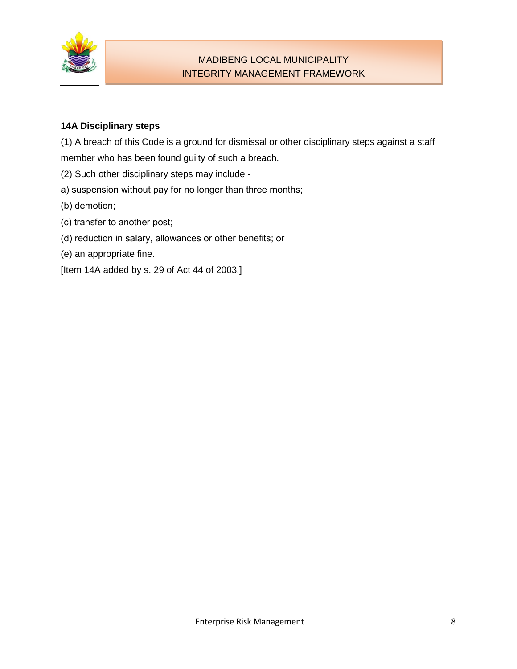

## **14A Disciplinary steps**

(1) A breach of this Code is a ground for dismissal or other disciplinary steps against a staff member who has been found guilty of such a breach.

- (2) Such other disciplinary steps may include -
- a) suspension without pay for no longer than three months;
- (b) demotion;
- (c) transfer to another post;
- (d) reduction in salary, allowances or other benefits; or
- (e) an appropriate fine.
- [Item 14A added by s. 29 of Act 44 of 2003.]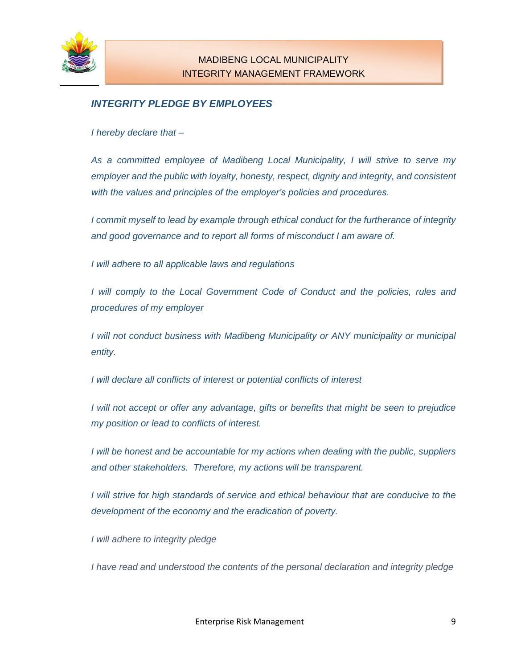

# *INTEGRITY PLEDGE BY EMPLOYEES*

*I hereby declare that –*

*As a committed employee of Madibeng Local Municipality, I will strive to serve my employer and the public with loyalty, honesty, respect, dignity and integrity, and consistent with the values and principles of the employer's policies and procedures.*

*I commit myself to lead by example through ethical conduct for the furtherance of integrity and good governance and to report all forms of misconduct I am aware of.*

*I will adhere to all applicable laws and regulations*

*I will comply to the Local Government Code of Conduct and the policies, rules and procedures of my employer*

*I will not conduct business with Madibeng Municipality or ANY municipality or municipal entity.* 

*I will declare all conflicts of interest or potential conflicts of interest*

*I* will not accept or offer any advantage, gifts or benefits that might be seen to prejudice *my position or lead to conflicts of interest.* 

*I* will be honest and be accountable for my actions when dealing with the public, suppliers *and other stakeholders. Therefore, my actions will be transparent.*

*I* will strive for high standards of service and ethical behaviour that are conducive to the *development of the economy and the eradication of poverty.*

*I will adhere to integrity pledge*

*I have read and understood the contents of the personal declaration and integrity pledge*